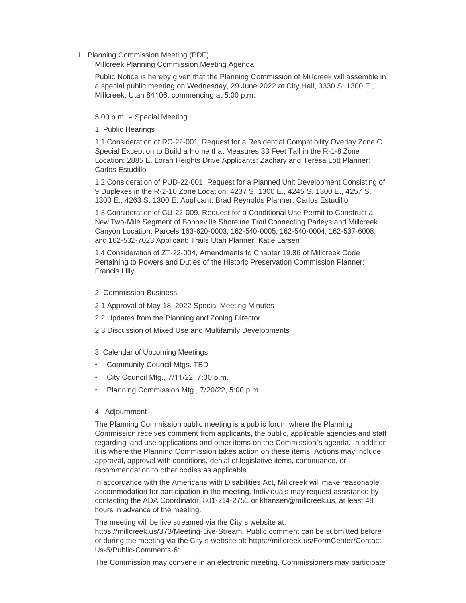## 1. Planning Commission Meeting (PDF)

Millcreek Planning Commission Meeting Agenda

Public Notice is hereby given that the Planning Commission of Millcreek will assemble in a special public meeting on Wednesday, 29 June 2022 at City Hall, 3330 S. 1300 E., Millcreek, Utah 84106, commencing at 5:00 p.m.

5:00 p.m. – Special Meeting

1. Public Hearings

1.1 Consideration of RC-22-001, Request for a Residential Compatibility Overlay Zone C Special Exception to Build a Home that Measures 33 Feet Tall in the R-1-8 Zone Location: 2885 E. Loran Heights Drive Applicants: Zachary and Teresa Lott Planner: Carlos Estudillo

1.2 Consideration of PUD-22-001, Request for a Planned Unit Development Consisting of 9 Duplexes in the R-2-10 Zone Location: 4237 S. 1300 E., 4245 S. 1300 E., 4257 S. 1300 E., 4263 S. 1300 E. Applicant: Brad Reynolds Planner: Carlos Estudillo

1.3 Consideration of CU-22-009, Request for a Conditional Use Permit to Construct a New Two-Mile Segment of Bonneville Shoreline Trail Connecting Parleys and Millcreek Canyon Location: Parcels 163-620-0003, 162-540-0005, 162-540-0004, 162-537-6008, and 162-532-7023 Applicant: Trails Utah Planner: Katie Larsen

1.4 Consideration of ZT-22-004, Amendments to Chapter 19.86 of Millcreek Code Pertaining to Powers and Duties of the Historic Preservation Commission Planner: Francis Lilly

- 2. Commission Business
- 2.1 Approval of May 18, 2022 Special Meeting Minutes
- 2.2 Updates from the Planning and Zoning Director
- 2.3 Discussion of Mixed Use and Multifamily Developments
- 3. Calendar of Upcoming Meetings
- Community Council Mtgs. TBD
- City Council Mtg., 7/11/22, 7:00 p.m.
- Planning Commission Mtg., 7/20/22, 5:00 p.m.
- 4. Adjournment

The Planning Commission public meeting is a public forum where the Planning Commission receives comment from applicants, the public, applicable agencies and staff regarding land use applications and other items on the Commission's agenda. In addition, it is where the Planning Commission takes action on these items. Actions may include: approval, approval with conditions, denial of legislative items, continuance, or recommendation to other bodies as applicable.

In accordance with the Americans with Disabilities Act, Millcreek will make reasonable accommodation for participation in the meeting. Individuals may request assistance by contacting the ADA Coordinator, 801-214-2751 or khansen@millcreek.us, at least 48 hours in advance of the meeting.

The meeting will be live streamed via the City's website at: https://millcreek.us/373/Meeting-Live-Stream. Public comment can be submitted before or during the meeting via the City's website at: https://millcreek.us/FormCenter/Contact-Us-5/Public-Comments-61.

The Commission may convene in an electronic meeting. Commissioners may participate